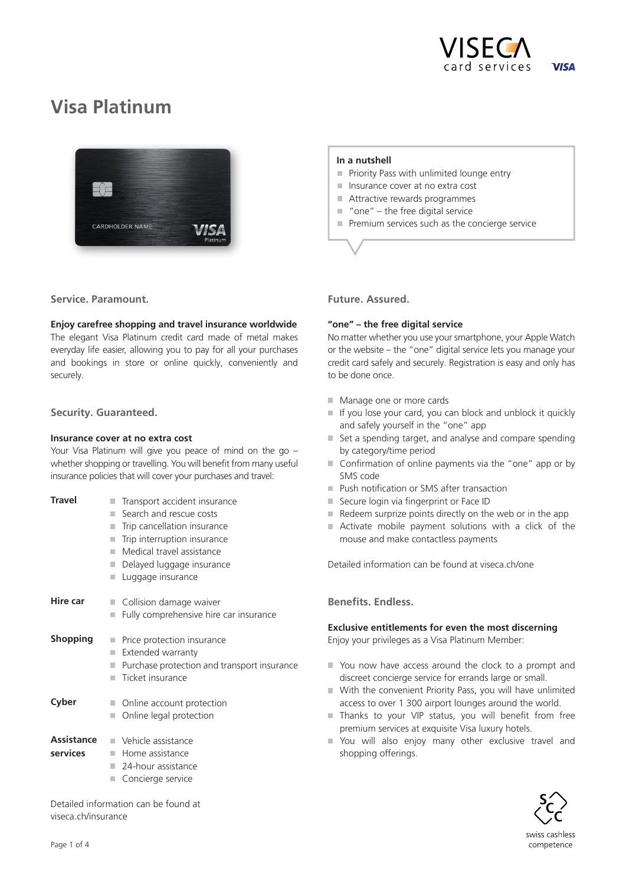

# **Visa Platinum**



 **In a nutshell**

- $\blacksquare$  Priority Pass with unlimited lounge entry
- Insurance cover at no extra cost
- Attractive rewards programmes
- $\blacksquare$  "one" the free digital service
- Premium services such as the concierge service

**Service. Paramount.**

## **Enjoy carefree shopping and travel insurance worldwide**

The elegant Visa Platinum credit card made of metal makes everyday life easier, allowing you to pay for all your purchases and bookings in store or online quickly, conveniently and securely.

## **Security. Guaranteed.**

## **Insurance cover at no extra cost**

Your Visa Platinum will give you peace of mind on the go – whether shopping or travelling. You will benefit from many useful insurance policies that will cover your purchases and travel:

| <b>Travel</b>          | Transport accident insurance<br>Search and rescue costs<br>H<br>Trip cancellation insurance<br>Trip interruption insurance<br>Medical travel assistance<br>Delayed luggage insurance<br>Luggage insurance | Se<br>Re<br>Ac<br>mo<br>Detail    |
|------------------------|-----------------------------------------------------------------------------------------------------------------------------------------------------------------------------------------------------------|-----------------------------------|
| Hire car               | Collision damage waiver<br>Fully comprehensive hire car insurance                                                                                                                                         | Bene                              |
| <b>Shopping</b>        | Price protection insurance<br>Extended warranty<br>Purchase protection and transport insurance<br>Ticket insurance                                                                                        | Exclu<br>Enjoy<br>Yo<br>dis<br>Wi |
| Cyber                  | Online account protection<br>Online legal protection                                                                                                                                                      | ac<br>Th<br>pre                   |
| Assistance<br>services | Vehicle assistance<br>Home assistance<br>24-hour assistance<br>Concierge service                                                                                                                          | Yo<br>sh                          |
|                        | Detailed information can be found at                                                                                                                                                                      |                                   |

## **Future. Assured.**

## **"one" – the free digital service**

No matter whether you use your smartphone, your Apple Watch or the website – the "one" digital service lets you manage your credit card safely and securely. Registration is easy and only has to be done once.

- **Manage one or more cards**
- $\blacksquare$  If you lose your card, you can block and unblock it quickly and safely yourself in the "one" app
- Set a spending target, and analyse and compare spending by category/time period
- Confirmation of online payments via the "one" app or by SMS code
- **Push notification or SMS after transaction**
- cure login via fingerprint or Face ID
- deem surprize points directly on the web or in the app
- tivate mobile payment solutions with a click of the ouse and make contactless payments

led information can be found at viseca ch/one

## *<u>Befits.</u>* Endless.

## **Exclusive entitlements for even the most discerning**

Vour privileges as a Visa Platinum Member:

- u now have access around the clock to a prompt and screet concierge service for errands large or small.
- ith the convenient Priority Pass, you will have unlimited cess to over 1 300 airport lounges around the world.
- anks to your VIP status, you will benefit from free emium services at exquisite Visa luxury hotels.
- u will also enjoy many other exclusive travel and opping offerings.



swiss cashless competence

viseca.ch/insurance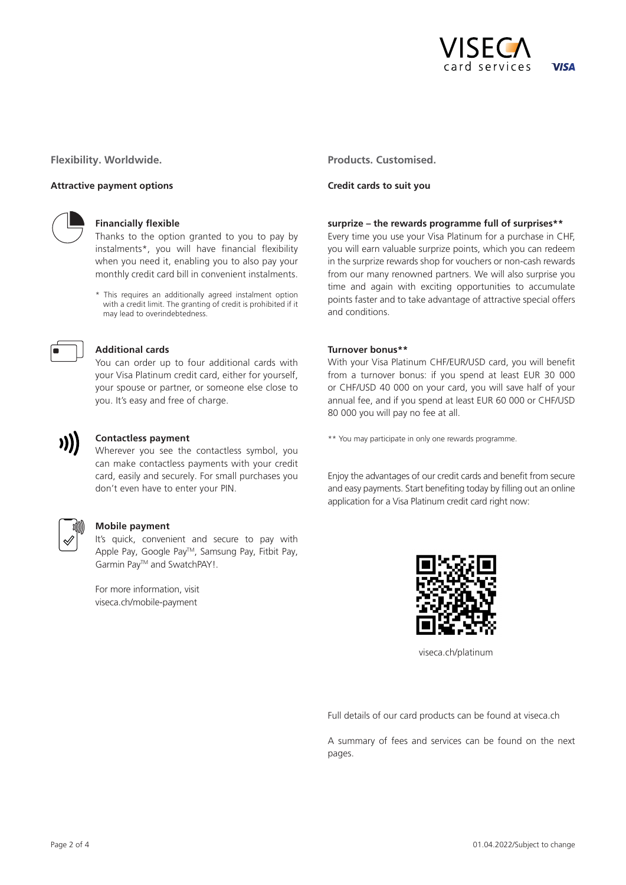

**Flexibility. Worldwide.**

#### **Attractive payment options**



#### **Financially flexible**

Thanks to the option granted to you to pay by instalments\*, you will have financial flexibility when you need it, enabling you to also pay your monthly credit card bill in convenient instalments.

\* This requires an additionally agreed instalment option with a credit limit. The granting of credit is prohibited if it may lead to overindebtedness.



#### **Additional cards**

You can order up to four additional cards with your Visa Platinum credit card, either for yourself, your spouse or partner, or someone else close to you. It's easy and free of charge.



#### **Contactless payment**

Wherever you see the contactless symbol, you can make contactless payments with your credit card, easily and securely. For small purchases you don't even have to enter your PIN.



#### **Mobile payment**

It's quick, convenient and secure to pay with Apple Pay, Google PayTM, Samsung Pay, Fitbit Pay, Garmin Pay<sup>™</sup> and SwatchPAY!.

For more information, visit viseca.ch/mobile-payment

**Products. Customised.**

#### **Credit cards to suit you**

#### **surprize – the rewards programme full of surprises\*\***

Every time you use your Visa Platinum for a purchase in CHF, you will earn valuable surprize points, which you can redeem in the surprize rewards shop for vouchers or non-cash rewards from our many renowned partners. We will also surprise you time and again with exciting opportunities to accumulate points faster and to take advantage of attractive special offers and conditions.

#### **Turnover bonus\*\***

With your Visa Platinum CHF/EUR/USD card, you will benefit from a turnover bonus: if you spend at least EUR 30 000 or CHF/USD 40 000 on your card, you will save half of your annual fee, and if you spend at least EUR 60 000 or CHF/USD 80 000 you will pay no fee at all.

\*\* You may participate in only one rewards programme.

Enjoy the advantages of our credit cards and benefit from secure and easy payments. Start benefiting today by filling out an online application for a Visa Platinum credit card right now:



viseca.ch/platinum

Full details of our card products can be found at viseca.ch

A summary of fees and services can be found on the next pages.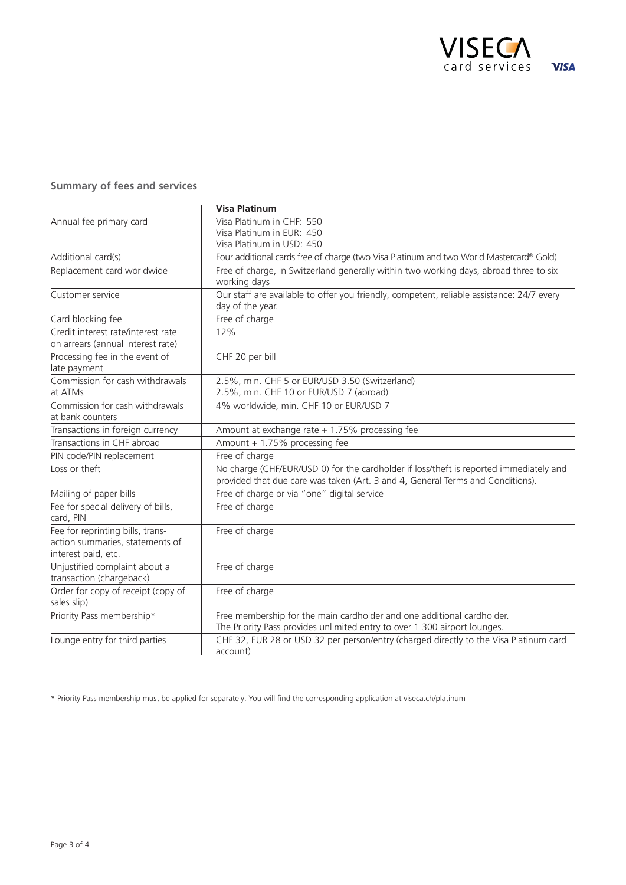

## **Summary of fees and services**

|                                                                                            | <b>Visa Platinum</b>                                                                                                                                                     |
|--------------------------------------------------------------------------------------------|--------------------------------------------------------------------------------------------------------------------------------------------------------------------------|
| Annual fee primary card                                                                    | Visa Platinum in CHF: 550<br>Visa Platinum in EUR: 450<br>Visa Platinum in USD: 450                                                                                      |
| Additional card(s)                                                                         | Four additional cards free of charge (two Visa Platinum and two World Mastercard® Gold)                                                                                  |
| Replacement card worldwide                                                                 | Free of charge, in Switzerland generally within two working days, abroad three to six<br>working days                                                                    |
| Customer service                                                                           | Our staff are available to offer you friendly, competent, reliable assistance: 24/7 every<br>day of the year.                                                            |
| Card blocking fee                                                                          | Free of charge                                                                                                                                                           |
| Credit interest rate/interest rate<br>on arrears (annual interest rate)                    | 12%                                                                                                                                                                      |
| Processing fee in the event of<br>late payment                                             | CHF 20 per bill                                                                                                                                                          |
| Commission for cash withdrawals<br>at ATMs                                                 | 2.5%, min. CHF 5 or EUR/USD 3.50 (Switzerland)<br>2.5%, min. CHF 10 or EUR/USD 7 (abroad)                                                                                |
| Commission for cash withdrawals<br>at bank counters                                        | 4% worldwide, min. CHF 10 or EUR/USD 7                                                                                                                                   |
| Transactions in foreign currency                                                           | Amount at exchange rate $+1.75%$ processing fee                                                                                                                          |
| Transactions in CHF abroad                                                                 | Amount + 1.75% processing fee                                                                                                                                            |
| PIN code/PIN replacement                                                                   | Free of charge                                                                                                                                                           |
| Loss or theft                                                                              | No charge (CHF/EUR/USD 0) for the cardholder if loss/theft is reported immediately and<br>provided that due care was taken (Art. 3 and 4, General Terms and Conditions). |
| Mailing of paper bills                                                                     | Free of charge or via "one" digital service                                                                                                                              |
| Fee for special delivery of bills,<br>card, PIN                                            | Free of charge                                                                                                                                                           |
| Fee for reprinting bills, trans-<br>action summaries, statements of<br>interest paid, etc. | Free of charge                                                                                                                                                           |
| Unjustified complaint about a<br>transaction (chargeback)                                  | Free of charge                                                                                                                                                           |
| Order for copy of receipt (copy of<br>sales slip)                                          | Free of charge                                                                                                                                                           |
| Priority Pass membership*                                                                  | Free membership for the main cardholder and one additional cardholder.<br>The Priority Pass provides unlimited entry to over 1 300 airport lounges.                      |
| Lounge entry for third parties                                                             | CHF 32, EUR 28 or USD 32 per person/entry (charged directly to the Visa Platinum card<br>account)                                                                        |

\* Priority Pass membership must be applied for separately. You will find the corresponding application at viseca.ch/platinum